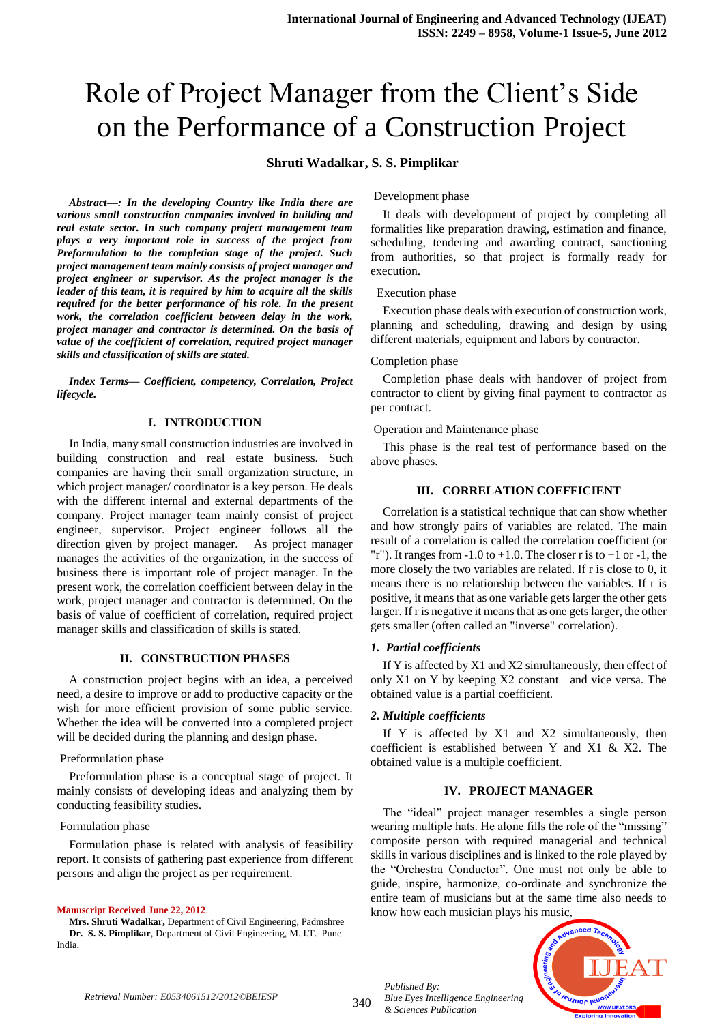# Role of Project Manager from the Client's Side on the Performance of a Construction Project

# **Shruti Wadalkar, S. S. Pimplikar**

*Abstract—: In the developing Country like India there are various small construction companies involved in building and real estate sector. In such company project management team plays a very important role in success of the project from Preformulation to the completion stage of the project. Such project management team mainly consists of project manager and project engineer or supervisor. As the project manager is the leader of this team, it is required by him to acquire all the skills required for the better performance of his role. In the present work, the correlation coefficient between delay in the work, project manager and contractor is determined. On the basis of value of the coefficient of correlation, required project manager skills and classification of skills are stated.* 

*Index Terms— Coefficient, competency, Correlation, Project lifecycle.*

## **I. INTRODUCTION**

In India, many small construction industries are involved in building construction and real estate business. Such companies are having their small organization structure, in which project manager/ coordinator is a key person. He deals with the different internal and external departments of the company. Project manager team mainly consist of project engineer, supervisor. Project engineer follows all the direction given by project manager. As project manager manages the activities of the organization, in the success of business there is important role of project manager. In the present work, the correlation coefficient between delay in the work, project manager and contractor is determined. On the basis of value of coefficient of correlation, required project manager skills and classification of skills is stated.

#### **II. CONSTRUCTION PHASES**

A construction project begins with an idea, a perceived need, a desire to improve or add to productive capacity or the wish for more efficient provision of some public service. Whether the idea will be converted into a completed project will be decided during the planning and design phase.

#### Preformulation phase

Preformulation phase is a conceptual stage of project. It mainly consists of developing ideas and analyzing them by conducting feasibility studies.

#### Formulation phase

Formulation phase is related with analysis of feasibility report. It consists of gathering past experience from different persons and align the project as per requirement.

#### **Manuscript Received June 22, 2012**.

**Mrs. Shruti Wadalkar,** Department of Civil Engineering, Padmshree **Dr. S. S. Pimplikar**, Department of Civil Engineering, M. I.T. Pune India,

Development phase

It deals with development of project by completing all formalities like preparation drawing, estimation and finance, scheduling, tendering and awarding contract, sanctioning from authorities, so that project is formally ready for execution.

#### Execution phase

Execution phase deals with execution of construction work, planning and scheduling, drawing and design by using different materials, equipment and labors by contractor.

## Completion phase

Completion phase deals with handover of project from contractor to client by giving final payment to contractor as per contract.

#### Operation and Maintenance phase

This phase is the real test of performance based on the above phases.

#### **III. CORRELATION COEFFICIENT**

Correlation is a statistical technique that can show whether and how strongly pairs of variables are related. The main result of a correlation is called the correlation coefficient (or "r"). It ranges from  $-1.0$  to  $+1.0$ . The closer r is to  $+1$  or  $-1$ , the more closely the two variables are related. If r is close to 0, it means there is no relationship between the variables. If r is positive, it means that as one variable gets larger the other gets larger. If r is negative it means that as one gets larger, the other gets smaller (often called an "inverse" correlation).

#### *1. Partial coefficients*

If Y is affected by  $X1$  and  $X2$  simultaneously, then effect of only X1 on Y by keeping X2 constant and vice versa. The obtained value is a partial coefficient.

#### *2. Multiple coefficients*

If Y is affected by X1 and X2 simultaneously, then coefficient is established between Y and X1 & X2. The obtained value is a multiple coefficient.

## **IV. PROJECT MANAGER**

The "ideal" project manager resembles a single person wearing multiple hats. He alone fills the role of the "missing" composite person with required managerial and technical skills in various disciplines and is linked to the role played by the "Orchestra Conductor". One must not only be able to guide, inspire, harmonize, co-ordinate and synchronize the entire team of musicians but at the same time also needs to know how each musician plays his music,



*Published By:*

*& Sciences Publication* 

*Blue Eyes Intelligence Engineering*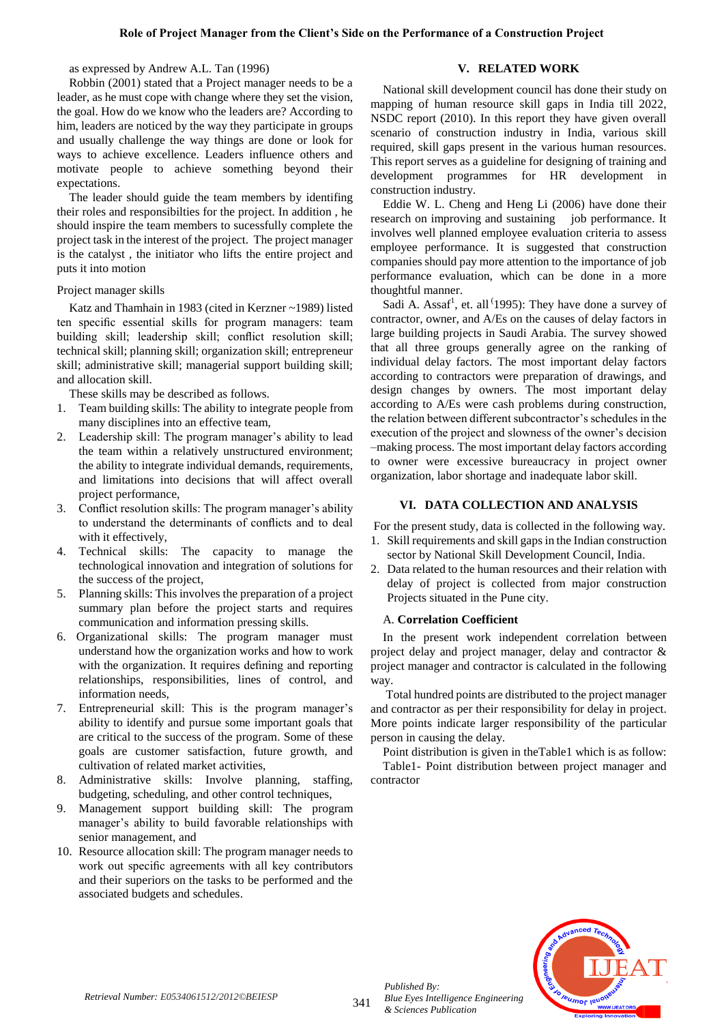## as expressed by Andrew A.L. Tan (1996)

Robbin (2001) stated that a Project manager needs to be a leader, as he must cope with change where they set the vision, the goal. How do we know who the leaders are? According to him, leaders are noticed by the way they participate in groups and usually challenge the way things are done or look for ways to achieve excellence. Leaders influence others and motivate people to achieve something beyond their expectations.

The leader should guide the team members by identifing their roles and responsibilties for the project. In addition , he should inspire the team members to sucessfully complete the project task in the interest of the project. The project manager is the catalyst , the initiator who lifts the entire project and puts it into motion

## Project manager skills

Katz and Thamhain in 1983 (cited in Kerzner ~1989) listed ten specific essential skills for program managers: team building skill; leadership skill; conflict resolution skill; technical skill; planning skill; organization skill; entrepreneur skill; administrative skill; managerial support building skill; and allocation skill.

These skills may be described as follows.

- 1. Team building skills: The ability to integrate people from many disciplines into an effective team,
- 2. Leadership skill: The program manager's ability to lead the team within a relatively unstructured environment; the ability to integrate individual demands, requirements, and limitations into decisions that will affect overall project performance,
- 3. Conflict resolution skills: The program manager's ability to understand the determinants of conflicts and to deal with it effectively,
- 4. Technical skills: The capacity to manage the technological innovation and integration of solutions for the success of the project,
- 5. Planning skills: This involves the preparation of a project summary plan before the project starts and requires communication and information pressing skills.
- 6. Organizational skills: The program manager must understand how the organization works and how to work with the organization. It requires defining and reporting relationships, responsibilities, lines of control, and information needs,
- 7. Entrepreneurial skill: This is the program manager's ability to identify and pursue some important goals that are critical to the success of the program. Some of these goals are customer satisfaction, future growth, and cultivation of related market activities,
- 8. Administrative skills: Involve planning, staffing, budgeting, scheduling, and other control techniques,
- 9. Management support building skill: The program manager's ability to build favorable relationships with senior management, and
- 10. Resource allocation skill: The program manager needs to work out specific agreements with all key contributors and their superiors on the tasks to be performed and the associated budgets and schedules.

# **V. RELATED WORK**

National skill development council has done their study on mapping of human resource skill gaps in India till 2022, NSDC report (2010). In this report they have given overall scenario of construction industry in India, various skill required, skill gaps present in the various human resources. This report serves as a guideline for designing of training and development programmes for HR development in construction industry.

Eddie W. L. Cheng and Heng Li (2006) have done their research on improving and sustaining job performance. It involves well planned employee evaluation criteria to assess employee performance. It is suggested that construction companies should pay more attention to the importance of job performance evaluation, which can be done in a more thoughtful manner.

Sadi A. Assaf<sup>1</sup>, et. all <sup>(1995</sup>): They have done a survey of contractor, owner, and A/Es on the causes of delay factors in large building projects in Saudi Arabia. The survey showed that all three groups generally agree on the ranking of individual delay factors. The most important delay factors according to contractors were preparation of drawings, and design changes by owners. The most important delay according to A/Es were cash problems during construction, the relation between different subcontractor's schedules in the execution of the project and slowness of the owner's decision –making process. The most important delay factors according to owner were excessive bureaucracy in project owner organization, labor shortage and inadequate labor skill.

## **VI. DATA COLLECTION AND ANALYSIS**

For the present study, data is collected in the following way.

- 1. Skill requirements and skill gaps in the Indian construction sector by National Skill Development Council, India.
- 2. Data related to the human resources and their relation with delay of project is collected from major construction Projects situated in the Pune city.

## A. **Correlation Coefficient**

In the present work independent correlation between project delay and project manager, delay and contractor & project manager and contractor is calculated in the following way.

Total hundred points are distributed to the project manager and contractor as per their responsibility for delay in project. More points indicate larger responsibility of the particular person in causing the delay.

Point distribution is given in theTable1 which is as follow: Table1- Point distribution between project manager and contractor



*Published By:*

*& Sciences Publication*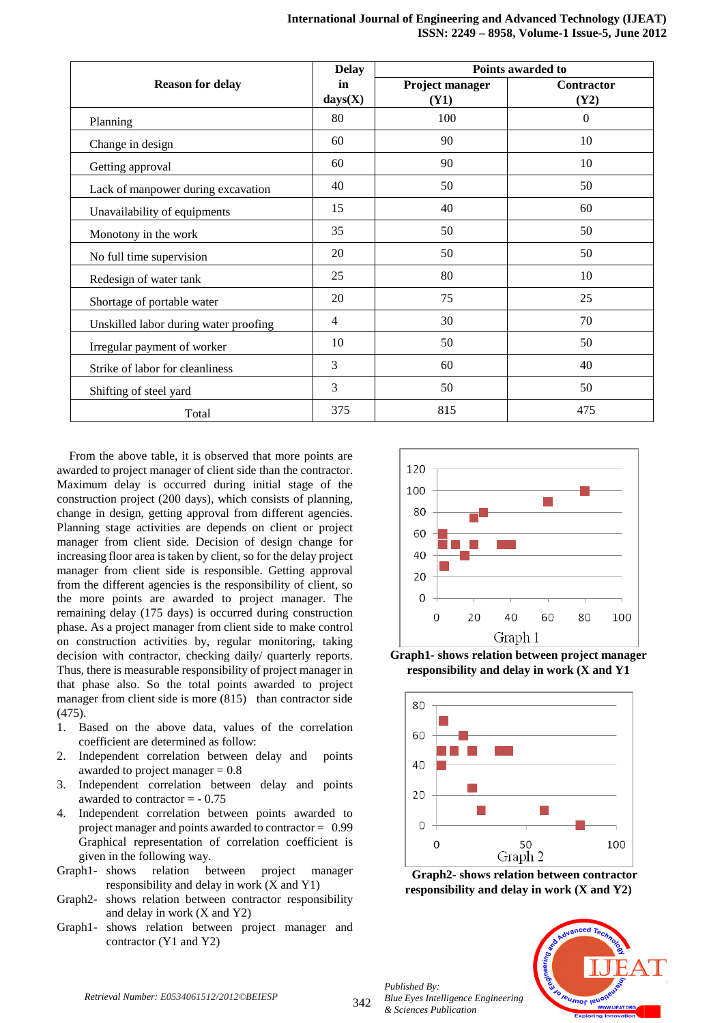|                                       | Points awarded to<br><b>Delay</b> |                         |                    |
|---------------------------------------|-----------------------------------|-------------------------|--------------------|
| <b>Reason for delay</b>               | in<br>$\mathbf{days}(\mathbf{X})$ | Project manager<br>(Y1) | Contractor<br>(Y2) |
| Planning                              | 80                                | 100                     | $\theta$           |
| Change in design                      | 60                                | 90                      | 10                 |
| Getting approval                      | 60                                | 90                      | 10                 |
| Lack of manpower during excavation    | 40                                | 50                      | 50                 |
| Unavailability of equipments          | 15                                | 40                      | 60                 |
| Monotony in the work                  | 35                                | 50                      | 50                 |
| No full time supervision              | 20                                | 50                      | 50                 |
| Redesign of water tank                | 25                                | 80                      | 10                 |
| Shortage of portable water            | 20                                | 75                      | 25                 |
| Unskilled labor during water proofing | $\overline{4}$                    | 30                      | 70                 |
| Irregular payment of worker           | 10                                | 50                      | 50                 |
| Strike of labor for cleanliness       | 3                                 | 60                      | 40                 |
| Shifting of steel yard                | 3                                 | 50                      | 50                 |
| Total                                 | 375                               | 815                     | 475                |

From the above table, it is observed that more points are awarded to project manager of client side than the contractor. Maximum delay is occurred during initial stage of the construction project (200 days), which consists of planning, change in design, getting approval from different agencies. Planning stage activities are depends on client or project manager from client side. Decision of design change for increasing floor area is taken by client, so for the delay project manager from client side is responsible. Getting approval from the different agencies is the responsibility of client, so the more points are awarded to project manager. The remaining delay (175 days) is occurred during construction phase. As a project manager from client side to make control on construction activities by, regular monitoring, taking decision with contractor, checking daily/ quarterly reports. Thus, there is measurable responsibility of project manager in that phase also. So the total points awarded to project manager from client side is more (815) than contractor side (475).

- 1. Based on the above data, values of the correlation coefficient are determined as follow:
- 2. Independent correlation between delay and points awarded to project manager  $= 0.8$
- 3. Independent correlation between delay and points awarded to contractor  $= -0.75$
- 4. Independent correlation between points awarded to project manager and points awarded to contractor = 0.99 Graphical representation of correlation coefficient is given in the following way.
- Graph1- shows relation between project manager responsibility and delay in work (X and Y1)
- Graph2- shows relation between contractor responsibility and delay in work (X and Y2)
- Graph1- shows relation between project manager and contractor (Y1 and Y2)



**Graph1- shows relation between project manager responsibility and delay in work (X and Y1**



**Graph2- shows relation between contractor responsibility and delay in work (X and Y2)**

*Published By: Blue Eyes Intelligence Engineering & Sciences Publication* 



*Retrieval Number: E0534061512/2012©BEIESP*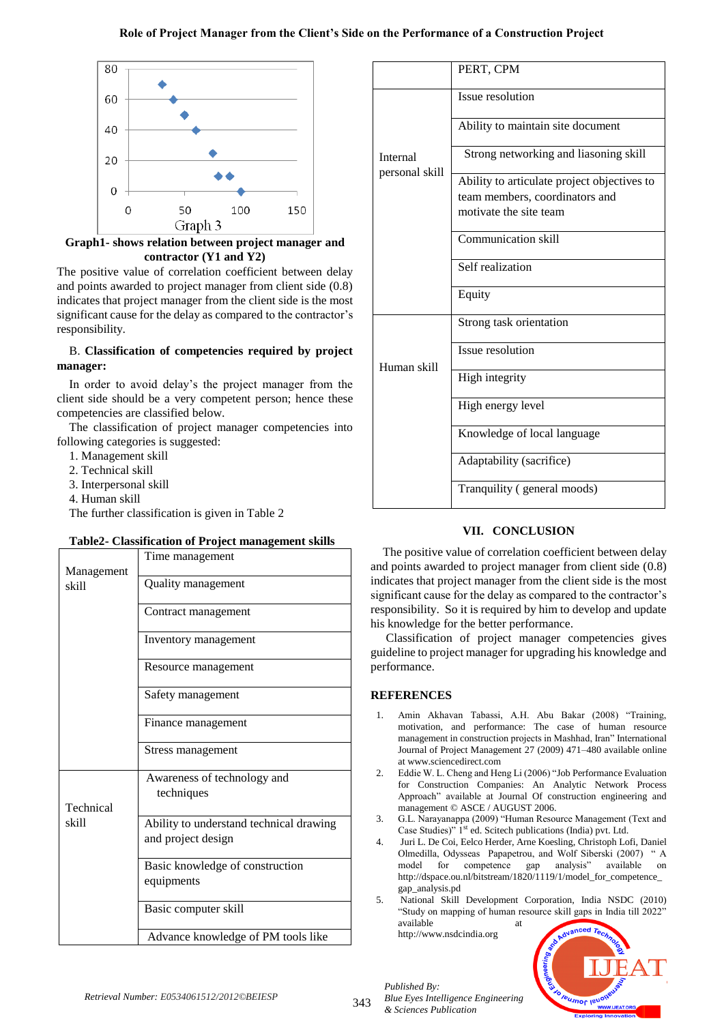## **Role of Project Manager from the Client's Side on the Performance of a Construction Project**



**Graph1- shows relation between project manager and contractor (Y1 and Y2)**

The positive value of correlation coefficient between delay and points awarded to project manager from client side (0.8) indicates that project manager from the client side is the most significant cause for the delay as compared to the contractor's responsibility.

# B. **Classification of competencies required by project manager:**

In order to avoid delay's the project manager from the client side should be a very competent person; hence these competencies are classified below.

The classification of project manager competencies into following categories is suggested:

- 1. Management skill
- 2. Technical skill
- 3. Interpersonal skill
- 4. Human skill

The further classification is given in Table 2

## **Table2- Classification of Project management skills**

| Management         | Time management                                               |
|--------------------|---------------------------------------------------------------|
| skill              | Quality management                                            |
|                    | Contract management                                           |
|                    | Inventory management                                          |
|                    | Resource management                                           |
|                    | Safety management                                             |
|                    | Finance management                                            |
|                    | Stress management                                             |
| Technical<br>skill | Awareness of technology and<br>techniques                     |
|                    | Ability to understand technical drawing<br>and project design |
|                    | Basic knowledge of construction<br>equipments                 |
|                    | Basic computer skill                                          |
|                    | Advance knowledge of PM tools like                            |

|                            | PERT, CPM                                                |  |  |
|----------------------------|----------------------------------------------------------|--|--|
| Internal<br>personal skill | Issue resolution                                         |  |  |
|                            | Ability to maintain site document                        |  |  |
|                            | Strong networking and liasoning skill                    |  |  |
|                            | Ability to articulate project objectives to              |  |  |
|                            | team members, coordinators and<br>motivate the site team |  |  |
|                            | <b>Communication skill</b>                               |  |  |
|                            | Self realization                                         |  |  |
|                            | Equity                                                   |  |  |
| Human skill                | Strong task orientation                                  |  |  |
|                            | Issue resolution                                         |  |  |
|                            | High integrity                                           |  |  |
|                            | High energy level                                        |  |  |
|                            | Knowledge of local language                              |  |  |
|                            | Adaptability (sacrifice)                                 |  |  |
|                            | Tranquility (general moods)                              |  |  |

# **VII. CONCLUSION**

The positive value of correlation coefficient between delay and points awarded to project manager from client side (0.8) indicates that project manager from the client side is the most significant cause for the delay as compared to the contractor's responsibility. So it is required by him to develop and update his knowledge for the better performance.

Classification of project manager competencies gives guideline to project manager for upgrading his knowledge and performance.

## **REFERENCES**

- 1. Amin Akhavan Tabassi, A.H. Abu Bakar (2008) "Training, motivation, and performance: The case of human resource management in construction projects in Mashhad, Iran" International Journal of Project Management 27 (2009) 471–480 available online a[t www.sciencedirect.com](http://www.sciencedirect.com/)
- 2. Eddie W. L. Cheng and Heng Li (2006) "Job Performance Evaluation for Construction Companies: An Analytic Network Process Approach" available at Journal Of construction engineering and management © ASCE / AUGUST 2006.
- 3. G.L. Narayanappa (2009) "Human Resource Management (Text and Case Studies)" 1<sup>st</sup> ed. Scitech publications (India) pvt. Ltd.
- 4. Juri L. De Coi, Eelco Herder, Arne Koesling, Christoph Lofi, Daniel Olmedilla, Odysseas Papapetrou, and Wolf Siberski (2007) " A model for competence gap analysis" available on http://dspace.ou.nl/bitstream/1820/1119/1/model\_for\_competence [gap\\_analysis.pd](http://dspace.ou.nl/bitstream/1820/1119/1/model_for_competence_gap_analysis.pd)
- 5. National Skill Development Corporation, India NSDC (2010) "Study on mapping of human resource skill gaps in India till 2022" available

[http://www.nsdcindia.org](http://www.nsdcindia.org/)

*Blue Eyes Intelligence Engineering* 

*Published By:*

*& Sciences Publication*